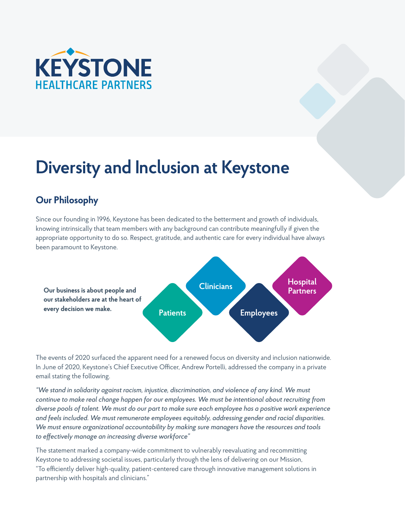

# **Diversity and Inclusion at Keystone**

# **Our Philosophy**

Since our founding in 1996, Keystone has been dedicated to the betterment and growth of individuals, knowing intrinsically that team members with any background can contribute meaningfully if given the appropriate opportunity to do so. Respect, gratitude, and authentic care for every individual have always been paramount to Keystone.



The events of 2020 surfaced the apparent need for a renewed focus on diversity and inclusion nationwide. In June of 2020, Keystone's Chief Executive Officer, Andrew Portelli, addressed the company in a private email stating the following.

*"We stand in solidarity against racism, injustice, discrimination, and violence of any kind. We must continue to make real change happen for our employees. We must be intentional about recruiting from diverse pools of talent. We must do our part to make sure each employee has a positive work experience and feels included. We must remunerate employees equitably, addressing gender and racial disparities. We must ensure organizational accountability by making sure managers have the resources and tools to effectively manage an increasing diverse workforce"*

The statement marked a company-wide commitment to vulnerably reevaluating and recommitting Keystone to addressing societal issues, particularly through the lens of delivering on our Mission, "To efficiently deliver high-quality, patient-centered care through innovative management solutions in partnership with hospitals and clinicians."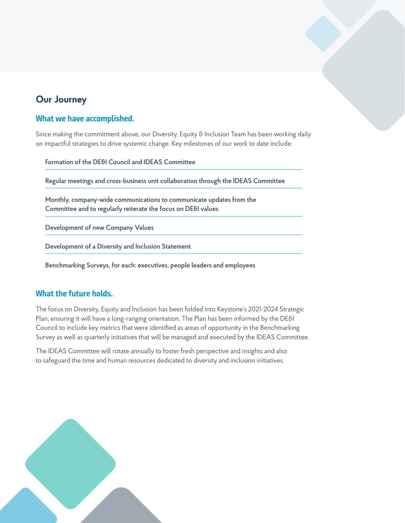# **Our Journey**

### **What we have accomplished.**

Since making the commitment above, our Diversity, Equity & Inclusion Team has been working daily on impactful strategies to drive systemic change. Key milestones of our work to date include:

**Formation of the DE&I Council and IDEAS Committee**

**Regular meetings and cross-business unit collaboration through the IDEAS Committee**

**Monthly, company-wide communications to communicate updates from the Committee and to regularly reiterate the focus on DE&I values**

**Development of new Company Values**

**Development of a Diversity and Inclusion Statement**

**Benchmarking Surveys, for each: executives, people leaders and employees** 

## **What the future holds.**

The focus on Diversity, Equity and Inclusion has been folded into Keystone's 2021-2024 Strategic Plan, ensuring it will have a long-ranging orientation. The Plan has been informed by the DE&I Council to include key metrics that were identified as areas of opportunity in the Benchmarking Survey as well as quarterly initiatives that will be managed and executed by the IDEAS Committee.

The IDEAS Committee will rotate annually to foster fresh perspective and insights and also to safeguard the time and human resources dedicated to diversity and inclusion initiatives.

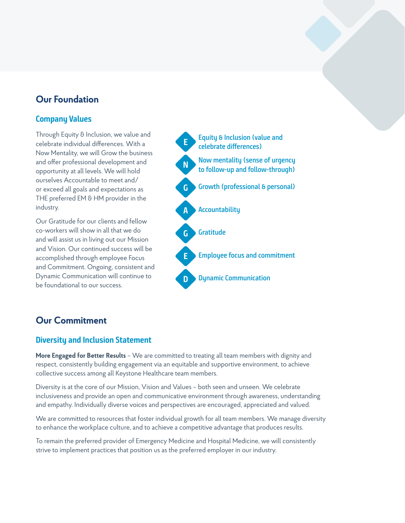# **Our Foundation**

## **Company Values**

Through Equity & Inclusion, we value and celebrate individual differences. With a Now Mentality, we will Grow the business and offer professional development and opportunity at all levels. We will hold ourselves Accountable to meet and/ or exceed all goals and expectations as THE preferred EM & HM provider in the industry.

Our Gratitude for our clients and fellow co-workers will show in all that we do and will assist us in living out our Mission and Vision. Our continued success will be accomplished through employee Focus and Commitment. Ongoing, consistent and Dynamic Communication will continue to be foundational to our success.



## **Our Commitment**

### **Diversity and Inclusion Statement**

**More Engaged for Better Results** – We are committed to treating all team members with dignity and respect, consistently building engagement via an equitable and supportive environment, to achieve collective success among all Keystone Healthcare team members.

Diversity is at the core of our Mission, Vision and Values – both seen and unseen. We celebrate inclusiveness and provide an open and communicative environment through awareness, understanding and empathy. Individually diverse voices and perspectives are encouraged, appreciated and valued.

We are committed to resources that foster individual growth for all team members. We manage diversity to enhance the workplace culture, and to achieve a competitive advantage that produces results.

To remain the preferred provider of Emergency Medicine and Hospital Medicine, we will consistently strive to implement practices that position us as the preferred employer in our industry.